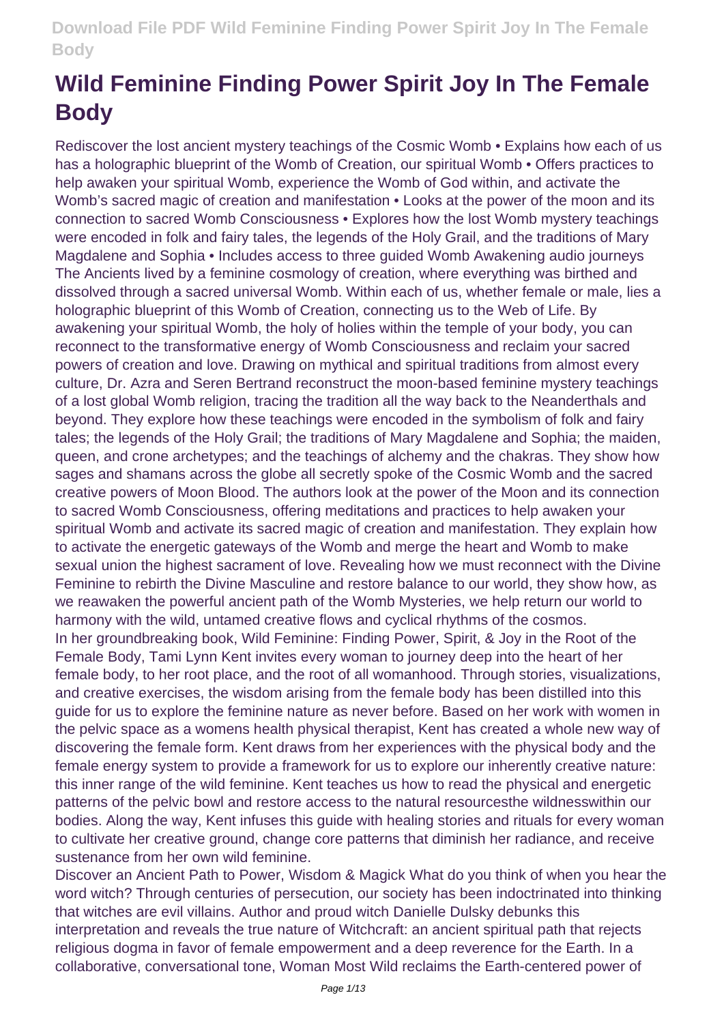# **Wild Feminine Finding Power Spirit Joy In The Female Body**

Rediscover the lost ancient mystery teachings of the Cosmic Womb • Explains how each of us has a holographic blueprint of the Womb of Creation, our spiritual Womb • Offers practices to help awaken your spiritual Womb, experience the Womb of God within, and activate the Womb's sacred magic of creation and manifestation • Looks at the power of the moon and its connection to sacred Womb Consciousness • Explores how the lost Womb mystery teachings were encoded in folk and fairy tales, the legends of the Holy Grail, and the traditions of Mary Magdalene and Sophia • Includes access to three guided Womb Awakening audio journeys The Ancients lived by a feminine cosmology of creation, where everything was birthed and dissolved through a sacred universal Womb. Within each of us, whether female or male, lies a holographic blueprint of this Womb of Creation, connecting us to the Web of Life. By awakening your spiritual Womb, the holy of holies within the temple of your body, you can reconnect to the transformative energy of Womb Consciousness and reclaim your sacred powers of creation and love. Drawing on mythical and spiritual traditions from almost every culture, Dr. Azra and Seren Bertrand reconstruct the moon-based feminine mystery teachings of a lost global Womb religion, tracing the tradition all the way back to the Neanderthals and beyond. They explore how these teachings were encoded in the symbolism of folk and fairy tales; the legends of the Holy Grail; the traditions of Mary Magdalene and Sophia; the maiden, queen, and crone archetypes; and the teachings of alchemy and the chakras. They show how sages and shamans across the globe all secretly spoke of the Cosmic Womb and the sacred creative powers of Moon Blood. The authors look at the power of the Moon and its connection to sacred Womb Consciousness, offering meditations and practices to help awaken your spiritual Womb and activate its sacred magic of creation and manifestation. They explain how to activate the energetic gateways of the Womb and merge the heart and Womb to make sexual union the highest sacrament of love. Revealing how we must reconnect with the Divine Feminine to rebirth the Divine Masculine and restore balance to our world, they show how, as we reawaken the powerful ancient path of the Womb Mysteries, we help return our world to harmony with the wild, untamed creative flows and cyclical rhythms of the cosmos. In her groundbreaking book, Wild Feminine: Finding Power, Spirit, & Joy in the Root of the Female Body, Tami Lynn Kent invites every woman to journey deep into the heart of her female body, to her root place, and the root of all womanhood. Through stories, visualizations, and creative exercises, the wisdom arising from the female body has been distilled into this guide for us to explore the feminine nature as never before. Based on her work with women in the pelvic space as a womens health physical therapist, Kent has created a whole new way of discovering the female form. Kent draws from her experiences with the physical body and the female energy system to provide a framework for us to explore our inherently creative nature: this inner range of the wild feminine. Kent teaches us how to read the physical and energetic patterns of the pelvic bowl and restore access to the natural resourcesthe wildnesswithin our bodies. Along the way, Kent infuses this guide with healing stories and rituals for every woman to cultivate her creative ground, change core patterns that diminish her radiance, and receive sustenance from her own wild feminine.

Discover an Ancient Path to Power, Wisdom & Magick What do you think of when you hear the word witch? Through centuries of persecution, our society has been indoctrinated into thinking that witches are evil villains. Author and proud witch Danielle Dulsky debunks this interpretation and reveals the true nature of Witchcraft: an ancient spiritual path that rejects religious dogma in favor of female empowerment and a deep reverence for the Earth. In a collaborative, conversational tone, Woman Most Wild reclaims the Earth-centered power of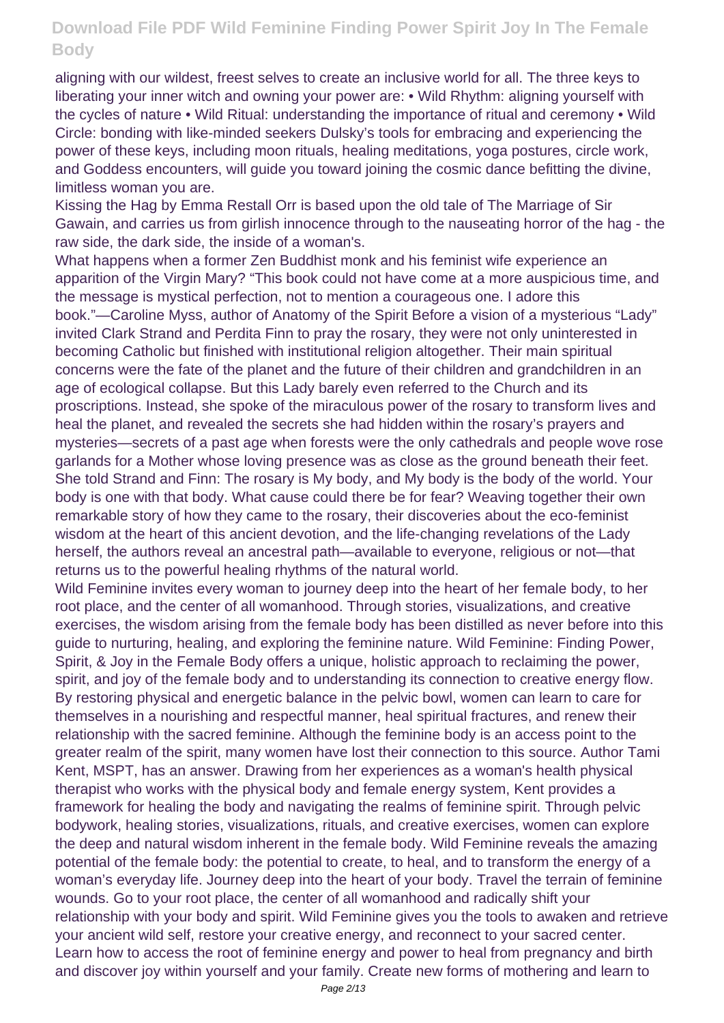aligning with our wildest, freest selves to create an inclusive world for all. The three keys to liberating your inner witch and owning your power are: • Wild Rhythm: aligning yourself with the cycles of nature • Wild Ritual: understanding the importance of ritual and ceremony • Wild Circle: bonding with like-minded seekers Dulsky's tools for embracing and experiencing the power of these keys, including moon rituals, healing meditations, yoga postures, circle work, and Goddess encounters, will guide you toward joining the cosmic dance befitting the divine, limitless woman you are.

Kissing the Hag by Emma Restall Orr is based upon the old tale of The Marriage of Sir Gawain, and carries us from girlish innocence through to the nauseating horror of the hag - the raw side, the dark side, the inside of a woman's.

What happens when a former Zen Buddhist monk and his feminist wife experience an apparition of the Virgin Mary? "This book could not have come at a more auspicious time, and the message is mystical perfection, not to mention a courageous one. I adore this book."—Caroline Myss, author of Anatomy of the Spirit Before a vision of a mysterious "Lady" invited Clark Strand and Perdita Finn to pray the rosary, they were not only uninterested in becoming Catholic but finished with institutional religion altogether. Their main spiritual concerns were the fate of the planet and the future of their children and grandchildren in an age of ecological collapse. But this Lady barely even referred to the Church and its proscriptions. Instead, she spoke of the miraculous power of the rosary to transform lives and heal the planet, and revealed the secrets she had hidden within the rosary's prayers and mysteries—secrets of a past age when forests were the only cathedrals and people wove rose garlands for a Mother whose loving presence was as close as the ground beneath their feet. She told Strand and Finn: The rosary is My body, and My body is the body of the world. Your body is one with that body. What cause could there be for fear? Weaving together their own remarkable story of how they came to the rosary, their discoveries about the eco-feminist wisdom at the heart of this ancient devotion, and the life-changing revelations of the Lady herself, the authors reveal an ancestral path—available to everyone, religious or not—that returns us to the powerful healing rhythms of the natural world.

Wild Feminine invites every woman to journey deep into the heart of her female body, to her root place, and the center of all womanhood. Through stories, visualizations, and creative exercises, the wisdom arising from the female body has been distilled as never before into this guide to nurturing, healing, and exploring the feminine nature. Wild Feminine: Finding Power, Spirit, & Joy in the Female Body offers a unique, holistic approach to reclaiming the power, spirit, and joy of the female body and to understanding its connection to creative energy flow. By restoring physical and energetic balance in the pelvic bowl, women can learn to care for themselves in a nourishing and respectful manner, heal spiritual fractures, and renew their relationship with the sacred feminine. Although the feminine body is an access point to the greater realm of the spirit, many women have lost their connection to this source. Author Tami Kent, MSPT, has an answer. Drawing from her experiences as a woman's health physical therapist who works with the physical body and female energy system, Kent provides a framework for healing the body and navigating the realms of feminine spirit. Through pelvic bodywork, healing stories, visualizations, rituals, and creative exercises, women can explore the deep and natural wisdom inherent in the female body. Wild Feminine reveals the amazing potential of the female body: the potential to create, to heal, and to transform the energy of a woman's everyday life. Journey deep into the heart of your body. Travel the terrain of feminine wounds. Go to your root place, the center of all womanhood and radically shift your relationship with your body and spirit. Wild Feminine gives you the tools to awaken and retrieve your ancient wild self, restore your creative energy, and reconnect to your sacred center. Learn how to access the root of feminine energy and power to heal from pregnancy and birth and discover joy within yourself and your family. Create new forms of mothering and learn to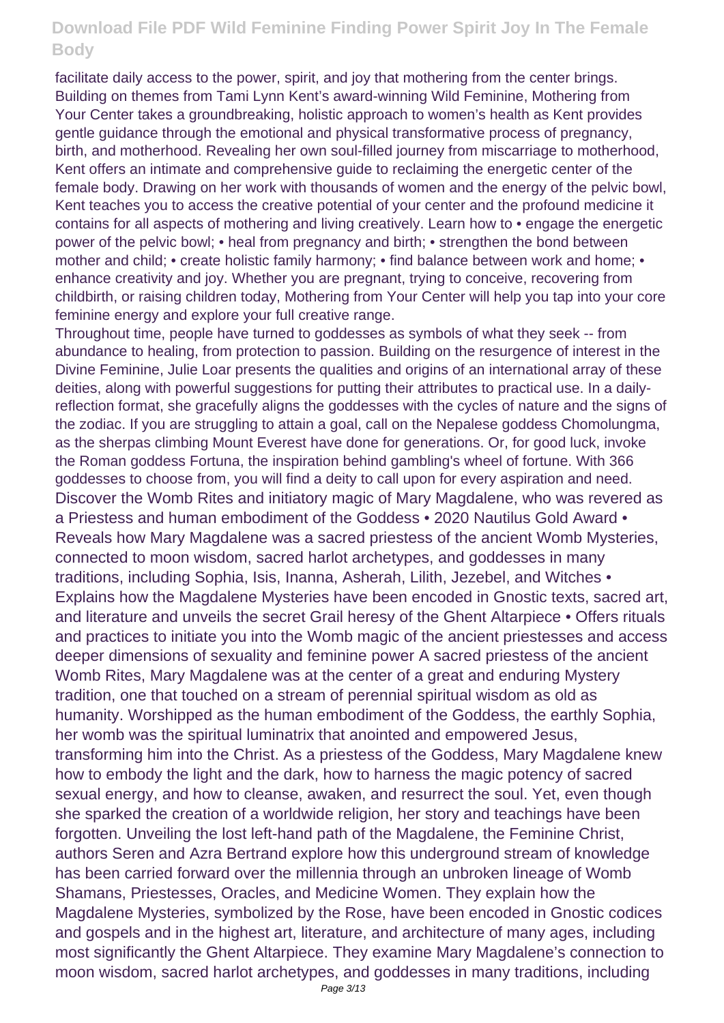facilitate daily access to the power, spirit, and joy that mothering from the center brings. Building on themes from Tami Lynn Kent's award-winning Wild Feminine, Mothering from Your Center takes a groundbreaking, holistic approach to women's health as Kent provides gentle guidance through the emotional and physical transformative process of pregnancy, birth, and motherhood. Revealing her own soul-filled journey from miscarriage to motherhood, Kent offers an intimate and comprehensive guide to reclaiming the energetic center of the female body. Drawing on her work with thousands of women and the energy of the pelvic bowl, Kent teaches you to access the creative potential of your center and the profound medicine it contains for all aspects of mothering and living creatively. Learn how to • engage the energetic power of the pelvic bowl; • heal from pregnancy and birth; • strengthen the bond between mother and child: • create holistic family harmony: • find balance between work and home: • enhance creativity and joy. Whether you are pregnant, trying to conceive, recovering from childbirth, or raising children today, Mothering from Your Center will help you tap into your core feminine energy and explore your full creative range.

Throughout time, people have turned to goddesses as symbols of what they seek -- from abundance to healing, from protection to passion. Building on the resurgence of interest in the Divine Feminine, Julie Loar presents the qualities and origins of an international array of these deities, along with powerful suggestions for putting their attributes to practical use. In a dailyreflection format, she gracefully aligns the goddesses with the cycles of nature and the signs of the zodiac. If you are struggling to attain a goal, call on the Nepalese goddess Chomolungma, as the sherpas climbing Mount Everest have done for generations. Or, for good luck, invoke the Roman goddess Fortuna, the inspiration behind gambling's wheel of fortune. With 366 goddesses to choose from, you will find a deity to call upon for every aspiration and need. Discover the Womb Rites and initiatory magic of Mary Magdalene, who was revered as a Priestess and human embodiment of the Goddess • 2020 Nautilus Gold Award • Reveals how Mary Magdalene was a sacred priestess of the ancient Womb Mysteries, connected to moon wisdom, sacred harlot archetypes, and goddesses in many traditions, including Sophia, Isis, Inanna, Asherah, Lilith, Jezebel, and Witches • Explains how the Magdalene Mysteries have been encoded in Gnostic texts, sacred art, and literature and unveils the secret Grail heresy of the Ghent Altarpiece • Offers rituals and practices to initiate you into the Womb magic of the ancient priestesses and access deeper dimensions of sexuality and feminine power A sacred priestess of the ancient Womb Rites, Mary Magdalene was at the center of a great and enduring Mystery tradition, one that touched on a stream of perennial spiritual wisdom as old as humanity. Worshipped as the human embodiment of the Goddess, the earthly Sophia, her womb was the spiritual luminatrix that anointed and empowered Jesus, transforming him into the Christ. As a priestess of the Goddess, Mary Magdalene knew how to embody the light and the dark, how to harness the magic potency of sacred sexual energy, and how to cleanse, awaken, and resurrect the soul. Yet, even though she sparked the creation of a worldwide religion, her story and teachings have been forgotten. Unveiling the lost left-hand path of the Magdalene, the Feminine Christ, authors Seren and Azra Bertrand explore how this underground stream of knowledge has been carried forward over the millennia through an unbroken lineage of Womb Shamans, Priestesses, Oracles, and Medicine Women. They explain how the Magdalene Mysteries, symbolized by the Rose, have been encoded in Gnostic codices and gospels and in the highest art, literature, and architecture of many ages, including most significantly the Ghent Altarpiece. They examine Mary Magdalene's connection to moon wisdom, sacred harlot archetypes, and goddesses in many traditions, including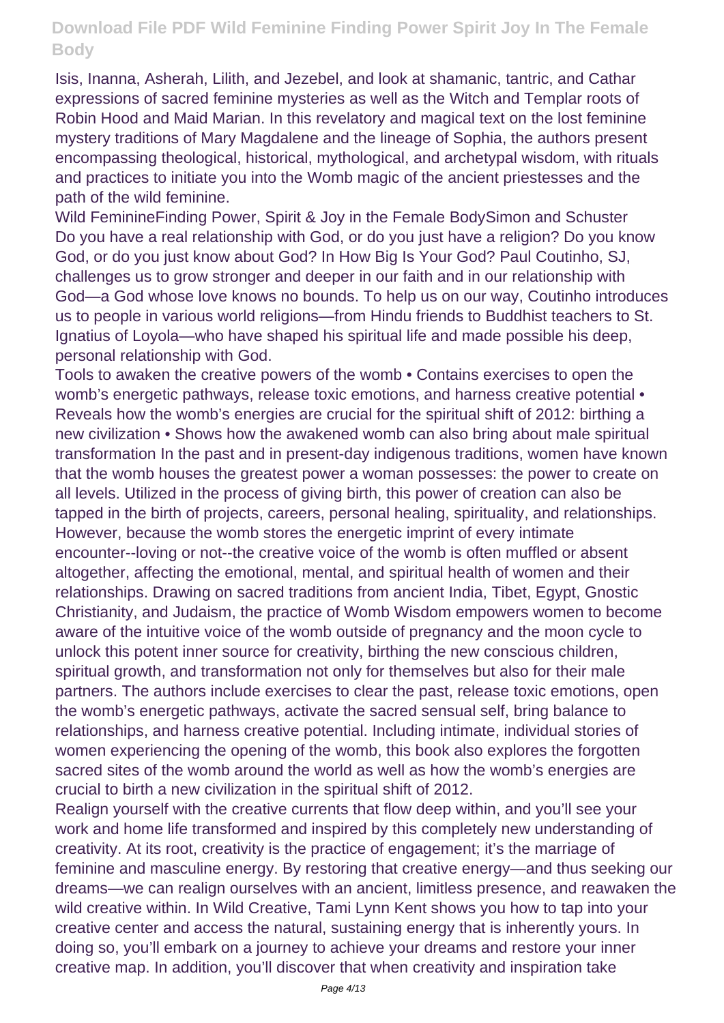Isis, Inanna, Asherah, Lilith, and Jezebel, and look at shamanic, tantric, and Cathar expressions of sacred feminine mysteries as well as the Witch and Templar roots of Robin Hood and Maid Marian. In this revelatory and magical text on the lost feminine mystery traditions of Mary Magdalene and the lineage of Sophia, the authors present encompassing theological, historical, mythological, and archetypal wisdom, with rituals and practices to initiate you into the Womb magic of the ancient priestesses and the path of the wild feminine.

Wild FeminineFinding Power, Spirit & Joy in the Female BodySimon and Schuster Do you have a real relationship with God, or do you just have a religion? Do you know God, or do you just know about God? In How Big Is Your God? Paul Coutinho, SJ, challenges us to grow stronger and deeper in our faith and in our relationship with God—a God whose love knows no bounds. To help us on our way, Coutinho introduces us to people in various world religions—from Hindu friends to Buddhist teachers to St. Ignatius of Loyola—who have shaped his spiritual life and made possible his deep, personal relationship with God.

Tools to awaken the creative powers of the womb • Contains exercises to open the womb's energetic pathways, release toxic emotions, and harness creative potential • Reveals how the womb's energies are crucial for the spiritual shift of 2012: birthing a new civilization • Shows how the awakened womb can also bring about male spiritual transformation In the past and in present-day indigenous traditions, women have known that the womb houses the greatest power a woman possesses: the power to create on all levels. Utilized in the process of giving birth, this power of creation can also be tapped in the birth of projects, careers, personal healing, spirituality, and relationships. However, because the womb stores the energetic imprint of every intimate encounter--loving or not--the creative voice of the womb is often muffled or absent altogether, affecting the emotional, mental, and spiritual health of women and their relationships. Drawing on sacred traditions from ancient India, Tibet, Egypt, Gnostic Christianity, and Judaism, the practice of Womb Wisdom empowers women to become aware of the intuitive voice of the womb outside of pregnancy and the moon cycle to unlock this potent inner source for creativity, birthing the new conscious children, spiritual growth, and transformation not only for themselves but also for their male partners. The authors include exercises to clear the past, release toxic emotions, open the womb's energetic pathways, activate the sacred sensual self, bring balance to relationships, and harness creative potential. Including intimate, individual stories of women experiencing the opening of the womb, this book also explores the forgotten sacred sites of the womb around the world as well as how the womb's energies are crucial to birth a new civilization in the spiritual shift of 2012.

Realign yourself with the creative currents that flow deep within, and you'll see your work and home life transformed and inspired by this completely new understanding of creativity. At its root, creativity is the practice of engagement; it's the marriage of feminine and masculine energy. By restoring that creative energy—and thus seeking our dreams—we can realign ourselves with an ancient, limitless presence, and reawaken the wild creative within. In Wild Creative, Tami Lynn Kent shows you how to tap into your creative center and access the natural, sustaining energy that is inherently yours. In doing so, you'll embark on a journey to achieve your dreams and restore your inner creative map. In addition, you'll discover that when creativity and inspiration take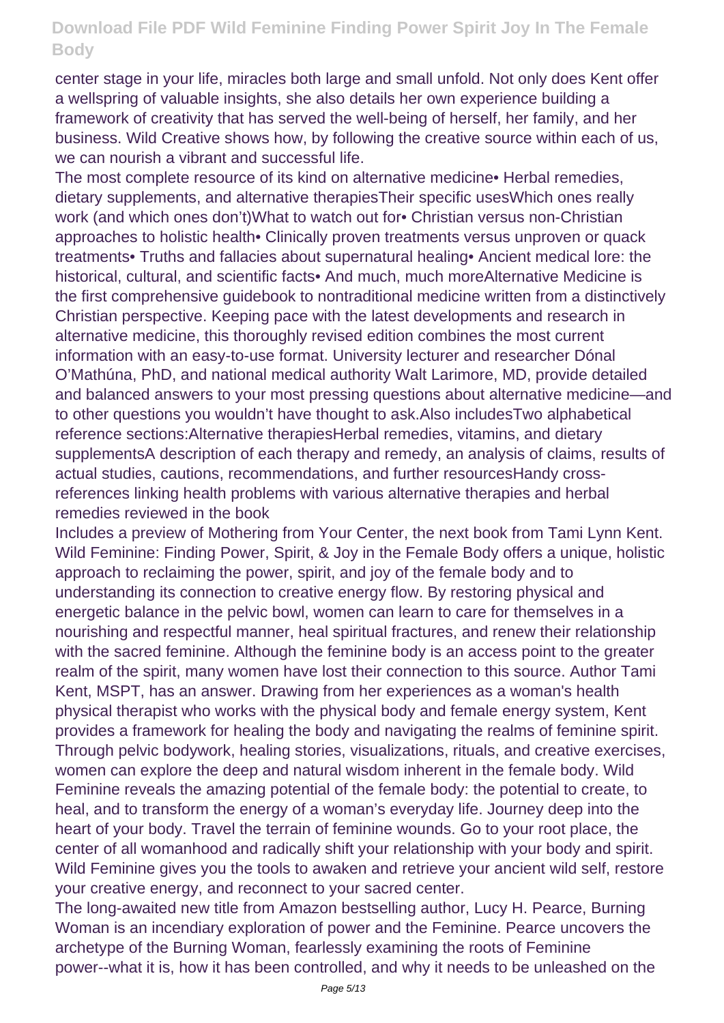center stage in your life, miracles both large and small unfold. Not only does Kent offer a wellspring of valuable insights, she also details her own experience building a framework of creativity that has served the well-being of herself, her family, and her business. Wild Creative shows how, by following the creative source within each of us, we can nourish a vibrant and successful life.

The most complete resource of its kind on alternative medicine• Herbal remedies, dietary supplements, and alternative therapiesTheir specific usesWhich ones really work (and which ones don't)What to watch out for• Christian versus non-Christian approaches to holistic health• Clinically proven treatments versus unproven or quack treatments• Truths and fallacies about supernatural healing• Ancient medical lore: the historical, cultural, and scientific facts• And much, much moreAlternative Medicine is the first comprehensive guidebook to nontraditional medicine written from a distinctively Christian perspective. Keeping pace with the latest developments and research in alternative medicine, this thoroughly revised edition combines the most current information with an easy-to-use format. University lecturer and researcher Dónal O'Mathúna, PhD, and national medical authority Walt Larimore, MD, provide detailed and balanced answers to your most pressing questions about alternative medicine—and to other questions you wouldn't have thought to ask.Also includesTwo alphabetical reference sections:Alternative therapiesHerbal remedies, vitamins, and dietary supplementsA description of each therapy and remedy, an analysis of claims, results of actual studies, cautions, recommendations, and further resourcesHandy crossreferences linking health problems with various alternative therapies and herbal remedies reviewed in the book

Includes a preview of Mothering from Your Center, the next book from Tami Lynn Kent. Wild Feminine: Finding Power, Spirit, & Joy in the Female Body offers a unique, holistic approach to reclaiming the power, spirit, and joy of the female body and to understanding its connection to creative energy flow. By restoring physical and energetic balance in the pelvic bowl, women can learn to care for themselves in a nourishing and respectful manner, heal spiritual fractures, and renew their relationship with the sacred feminine. Although the feminine body is an access point to the greater realm of the spirit, many women have lost their connection to this source. Author Tami Kent, MSPT, has an answer. Drawing from her experiences as a woman's health physical therapist who works with the physical body and female energy system, Kent provides a framework for healing the body and navigating the realms of feminine spirit. Through pelvic bodywork, healing stories, visualizations, rituals, and creative exercises, women can explore the deep and natural wisdom inherent in the female body. Wild Feminine reveals the amazing potential of the female body: the potential to create, to heal, and to transform the energy of a woman's everyday life. Journey deep into the heart of your body. Travel the terrain of feminine wounds. Go to your root place, the center of all womanhood and radically shift your relationship with your body and spirit. Wild Feminine gives you the tools to awaken and retrieve your ancient wild self, restore your creative energy, and reconnect to your sacred center.

The long-awaited new title from Amazon bestselling author, Lucy H. Pearce, Burning Woman is an incendiary exploration of power and the Feminine. Pearce uncovers the archetype of the Burning Woman, fearlessly examining the roots of Feminine power--what it is, how it has been controlled, and why it needs to be unleashed on the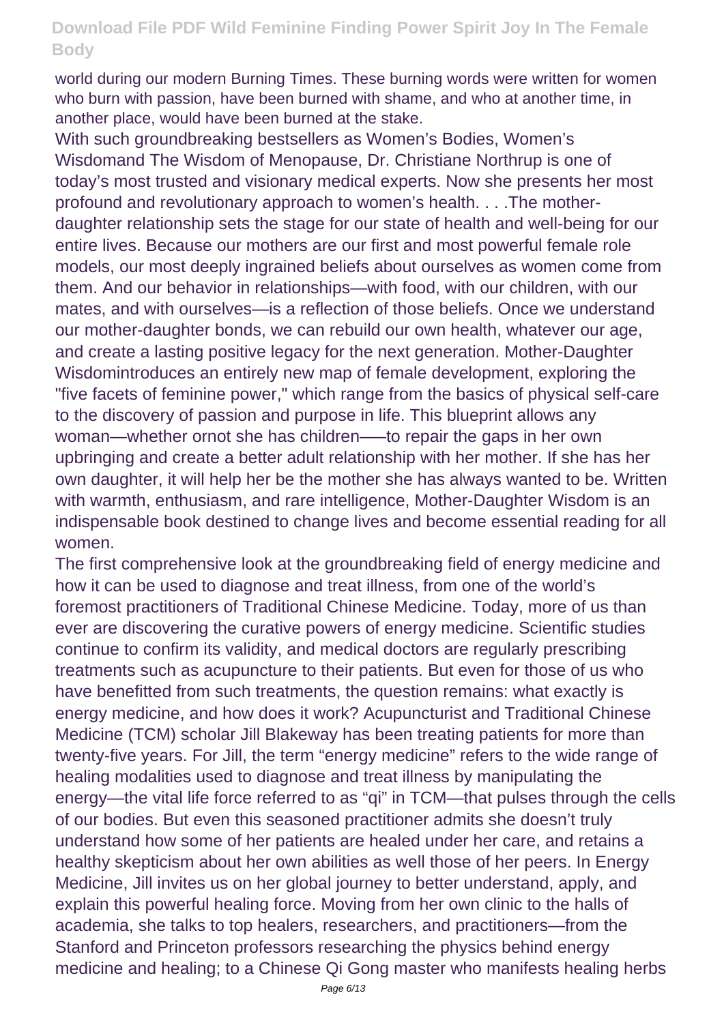world during our modern Burning Times. These burning words were written for women who burn with passion, have been burned with shame, and who at another time, in another place, would have been burned at the stake.

With such groundbreaking bestsellers as Women's Bodies, Women's Wisdomand The Wisdom of Menopause, Dr. Christiane Northrup is one of today's most trusted and visionary medical experts. Now she presents her most profound and revolutionary approach to women's health. . . .The motherdaughter relationship sets the stage for our state of health and well-being for our entire lives. Because our mothers are our first and most powerful female role models, our most deeply ingrained beliefs about ourselves as women come from them. And our behavior in relationships—with food, with our children, with our mates, and with ourselves—is a reflection of those beliefs. Once we understand our mother-daughter bonds, we can rebuild our own health, whatever our age, and create a lasting positive legacy for the next generation. Mother-Daughter Wisdomintroduces an entirely new map of female development, exploring the "five facets of feminine power," which range from the basics of physical self-care to the discovery of passion and purpose in life. This blueprint allows any woman—whether ornot she has children—–to repair the gaps in her own upbringing and create a better adult relationship with her mother. If she has her own daughter, it will help her be the mother she has always wanted to be. Written with warmth, enthusiasm, and rare intelligence, Mother-Daughter Wisdom is an indispensable book destined to change lives and become essential reading for all women.

The first comprehensive look at the groundbreaking field of energy medicine and how it can be used to diagnose and treat illness, from one of the world's foremost practitioners of Traditional Chinese Medicine. Today, more of us than ever are discovering the curative powers of energy medicine. Scientific studies continue to confirm its validity, and medical doctors are regularly prescribing treatments such as acupuncture to their patients. But even for those of us who have benefitted from such treatments, the question remains: what exactly is energy medicine, and how does it work? Acupuncturist and Traditional Chinese Medicine (TCM) scholar Jill Blakeway has been treating patients for more than twenty-five years. For Jill, the term "energy medicine" refers to the wide range of healing modalities used to diagnose and treat illness by manipulating the energy—the vital life force referred to as "qi" in TCM—that pulses through the cells of our bodies. But even this seasoned practitioner admits she doesn't truly understand how some of her patients are healed under her care, and retains a healthy skepticism about her own abilities as well those of her peers. In Energy Medicine, Jill invites us on her global journey to better understand, apply, and explain this powerful healing force. Moving from her own clinic to the halls of academia, she talks to top healers, researchers, and practitioners—from the Stanford and Princeton professors researching the physics behind energy medicine and healing; to a Chinese Qi Gong master who manifests healing herbs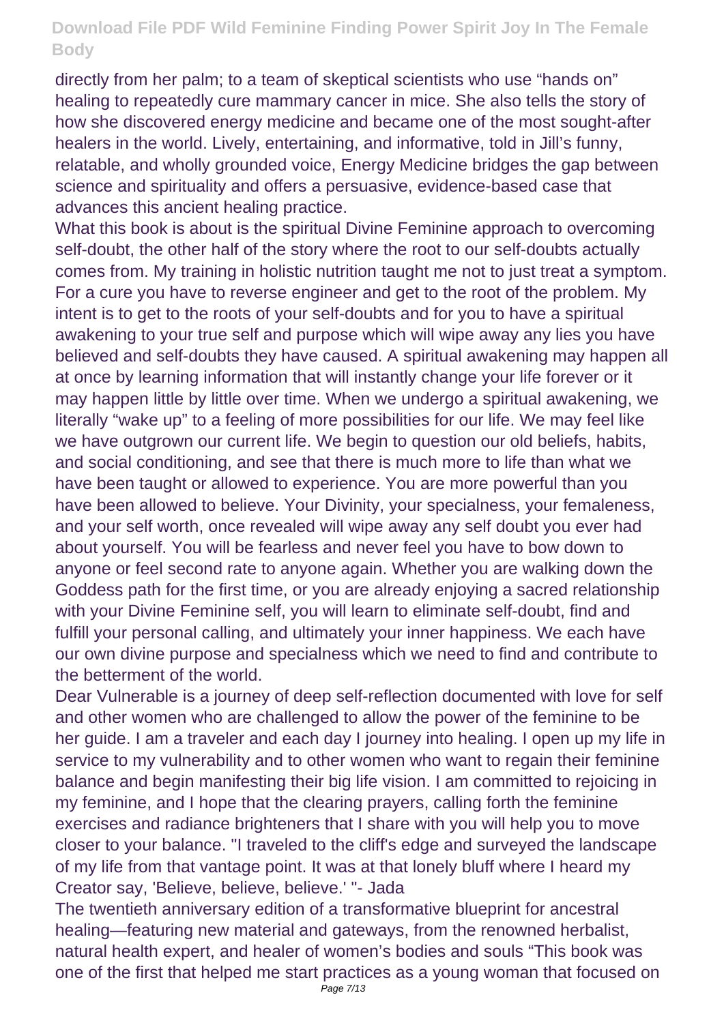directly from her palm; to a team of skeptical scientists who use "hands on" healing to repeatedly cure mammary cancer in mice. She also tells the story of how she discovered energy medicine and became one of the most sought-after healers in the world. Lively, entertaining, and informative, told in Jill's funny, relatable, and wholly grounded voice, Energy Medicine bridges the gap between science and spirituality and offers a persuasive, evidence-based case that advances this ancient healing practice.

What this book is about is the spiritual Divine Feminine approach to overcoming self-doubt, the other half of the story where the root to our self-doubts actually comes from. My training in holistic nutrition taught me not to just treat a symptom. For a cure you have to reverse engineer and get to the root of the problem. My intent is to get to the roots of your self-doubts and for you to have a spiritual awakening to your true self and purpose which will wipe away any lies you have believed and self-doubts they have caused. A spiritual awakening may happen all at once by learning information that will instantly change your life forever or it may happen little by little over time. When we undergo a spiritual awakening, we literally "wake up" to a feeling of more possibilities for our life. We may feel like we have outgrown our current life. We begin to question our old beliefs, habits, and social conditioning, and see that there is much more to life than what we have been taught or allowed to experience. You are more powerful than you have been allowed to believe. Your Divinity, your specialness, your femaleness, and your self worth, once revealed will wipe away any self doubt you ever had about yourself. You will be fearless and never feel you have to bow down to anyone or feel second rate to anyone again. Whether you are walking down the Goddess path for the first time, or you are already enjoying a sacred relationship with your Divine Feminine self, you will learn to eliminate self-doubt, find and fulfill your personal calling, and ultimately your inner happiness. We each have our own divine purpose and specialness which we need to find and contribute to the betterment of the world.

Dear Vulnerable is a journey of deep self-reflection documented with love for self and other women who are challenged to allow the power of the feminine to be her guide. I am a traveler and each day I journey into healing. I open up my life in service to my vulnerability and to other women who want to regain their feminine balance and begin manifesting their big life vision. I am committed to rejoicing in my feminine, and I hope that the clearing prayers, calling forth the feminine exercises and radiance brighteners that I share with you will help you to move closer to your balance. "I traveled to the cliff's edge and surveyed the landscape of my life from that vantage point. It was at that lonely bluff where I heard my Creator say, 'Believe, believe, believe.' "- Jada

The twentieth anniversary edition of a transformative blueprint for ancestral healing—featuring new material and gateways, from the renowned herbalist, natural health expert, and healer of women's bodies and souls "This book was one of the first that helped me start practices as a young woman that focused on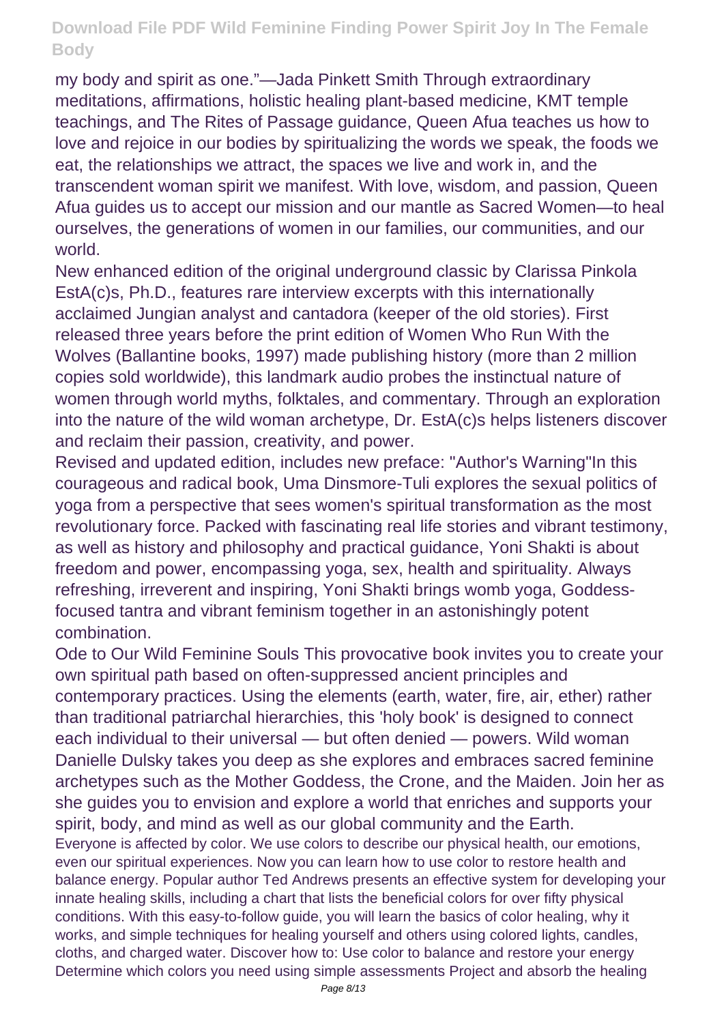my body and spirit as one."—Jada Pinkett Smith Through extraordinary meditations, affirmations, holistic healing plant-based medicine, KMT temple teachings, and The Rites of Passage guidance, Queen Afua teaches us how to love and rejoice in our bodies by spiritualizing the words we speak, the foods we eat, the relationships we attract, the spaces we live and work in, and the transcendent woman spirit we manifest. With love, wisdom, and passion, Queen Afua guides us to accept our mission and our mantle as Sacred Women—to heal ourselves, the generations of women in our families, our communities, and our world.

New enhanced edition of the original underground classic by Clarissa Pinkola EstA(c)s, Ph.D., features rare interview excerpts with this internationally acclaimed Jungian analyst and cantadora (keeper of the old stories). First released three years before the print edition of Women Who Run With the Wolves (Ballantine books, 1997) made publishing history (more than 2 million copies sold worldwide), this landmark audio probes the instinctual nature of women through world myths, folktales, and commentary. Through an exploration into the nature of the wild woman archetype, Dr. EstA(c)s helps listeners discover and reclaim their passion, creativity, and power.

Revised and updated edition, includes new preface: "Author's Warning"In this courageous and radical book, Uma Dinsmore-Tuli explores the sexual politics of yoga from a perspective that sees women's spiritual transformation as the most revolutionary force. Packed with fascinating real life stories and vibrant testimony, as well as history and philosophy and practical guidance, Yoni Shakti is about freedom and power, encompassing yoga, sex, health and spirituality. Always refreshing, irreverent and inspiring, Yoni Shakti brings womb yoga, Goddessfocused tantra and vibrant feminism together in an astonishingly potent combination.

Ode to Our Wild Feminine Souls This provocative book invites you to create your own spiritual path based on often-suppressed ancient principles and contemporary practices. Using the elements (earth, water, fire, air, ether) rather than traditional patriarchal hierarchies, this 'holy book' is designed to connect each individual to their universal — but often denied — powers. Wild woman Danielle Dulsky takes you deep as she explores and embraces sacred feminine archetypes such as the Mother Goddess, the Crone, and the Maiden. Join her as she guides you to envision and explore a world that enriches and supports your spirit, body, and mind as well as our global community and the Earth. Everyone is affected by color. We use colors to describe our physical health, our emotions, even our spiritual experiences. Now you can learn how to use color to restore health and balance energy. Popular author Ted Andrews presents an effective system for developing your innate healing skills, including a chart that lists the beneficial colors for over fifty physical conditions. With this easy-to-follow guide, you will learn the basics of color healing, why it works, and simple techniques for healing yourself and others using colored lights, candles, cloths, and charged water. Discover how to: Use color to balance and restore your energy

Determine which colors you need using simple assessments Project and absorb the healing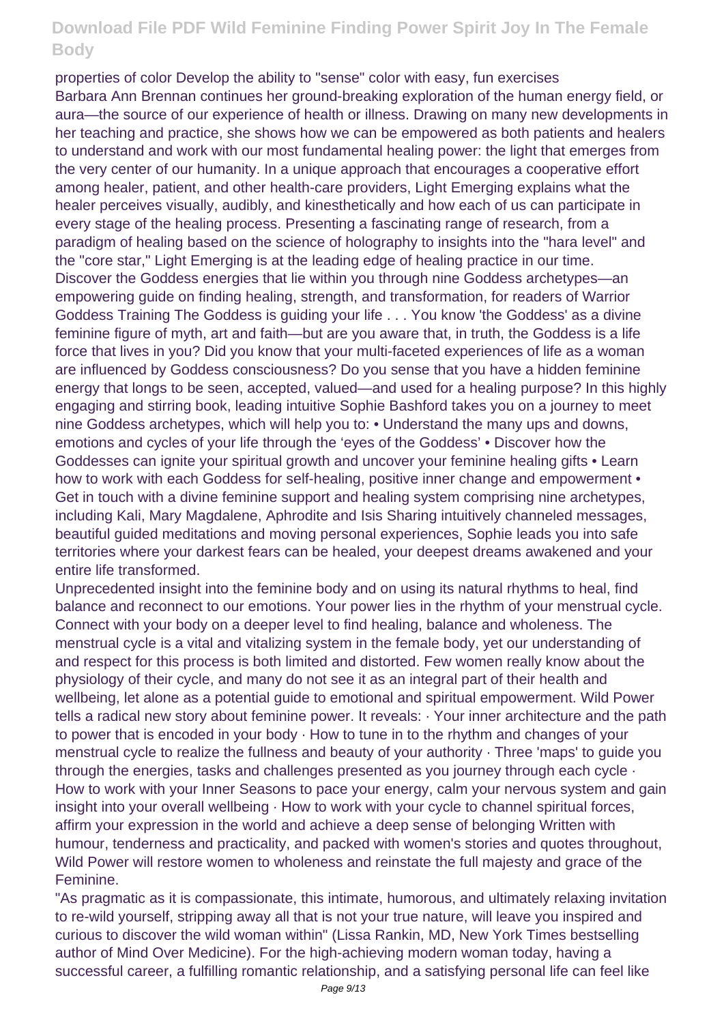properties of color Develop the ability to "sense" color with easy, fun exercises Barbara Ann Brennan continues her ground-breaking exploration of the human energy field, or aura—the source of our experience of health or illness. Drawing on many new developments in her teaching and practice, she shows how we can be empowered as both patients and healers to understand and work with our most fundamental healing power: the light that emerges from the very center of our humanity. In a unique approach that encourages a cooperative effort among healer, patient, and other health-care providers, Light Emerging explains what the healer perceives visually, audibly, and kinesthetically and how each of us can participate in every stage of the healing process. Presenting a fascinating range of research, from a paradigm of healing based on the science of holography to insights into the "hara level" and the "core star," Light Emerging is at the leading edge of healing practice in our time. Discover the Goddess energies that lie within you through nine Goddess archetypes—an empowering guide on finding healing, strength, and transformation, for readers of Warrior Goddess Training The Goddess is guiding your life . . . You know 'the Goddess' as a divine feminine figure of myth, art and faith—but are you aware that, in truth, the Goddess is a life force that lives in you? Did you know that your multi-faceted experiences of life as a woman are influenced by Goddess consciousness? Do you sense that you have a hidden feminine energy that longs to be seen, accepted, valued—and used for a healing purpose? In this highly engaging and stirring book, leading intuitive Sophie Bashford takes you on a journey to meet nine Goddess archetypes, which will help you to: • Understand the many ups and downs, emotions and cycles of your life through the 'eyes of the Goddess' • Discover how the Goddesses can ignite your spiritual growth and uncover your feminine healing gifts • Learn how to work with each Goddess for self-healing, positive inner change and empowerment • Get in touch with a divine feminine support and healing system comprising nine archetypes, including Kali, Mary Magdalene, Aphrodite and Isis Sharing intuitively channeled messages, beautiful guided meditations and moving personal experiences, Sophie leads you into safe territories where your darkest fears can be healed, your deepest dreams awakened and your entire life transformed.

Unprecedented insight into the feminine body and on using its natural rhythms to heal, find balance and reconnect to our emotions. Your power lies in the rhythm of your menstrual cycle. Connect with your body on a deeper level to find healing, balance and wholeness. The menstrual cycle is a vital and vitalizing system in the female body, yet our understanding of and respect for this process is both limited and distorted. Few women really know about the physiology of their cycle, and many do not see it as an integral part of their health and wellbeing, let alone as a potential guide to emotional and spiritual empowerment. Wild Power tells a radical new story about feminine power. It reveals: · Your inner architecture and the path to power that is encoded in your body · How to tune in to the rhythm and changes of your menstrual cycle to realize the fullness and beauty of your authority · Three 'maps' to guide you through the energies, tasks and challenges presented as you journey through each cycle · How to work with your Inner Seasons to pace your energy, calm your nervous system and gain insight into your overall wellbeing · How to work with your cycle to channel spiritual forces, affirm your expression in the world and achieve a deep sense of belonging Written with humour, tenderness and practicality, and packed with women's stories and quotes throughout, Wild Power will restore women to wholeness and reinstate the full majesty and grace of the Feminine.

"As pragmatic as it is compassionate, this intimate, humorous, and ultimately relaxing invitation to re-wild yourself, stripping away all that is not your true nature, will leave you inspired and curious to discover the wild woman within" (Lissa Rankin, MD, New York Times bestselling author of Mind Over Medicine). For the high-achieving modern woman today, having a successful career, a fulfilling romantic relationship, and a satisfying personal life can feel like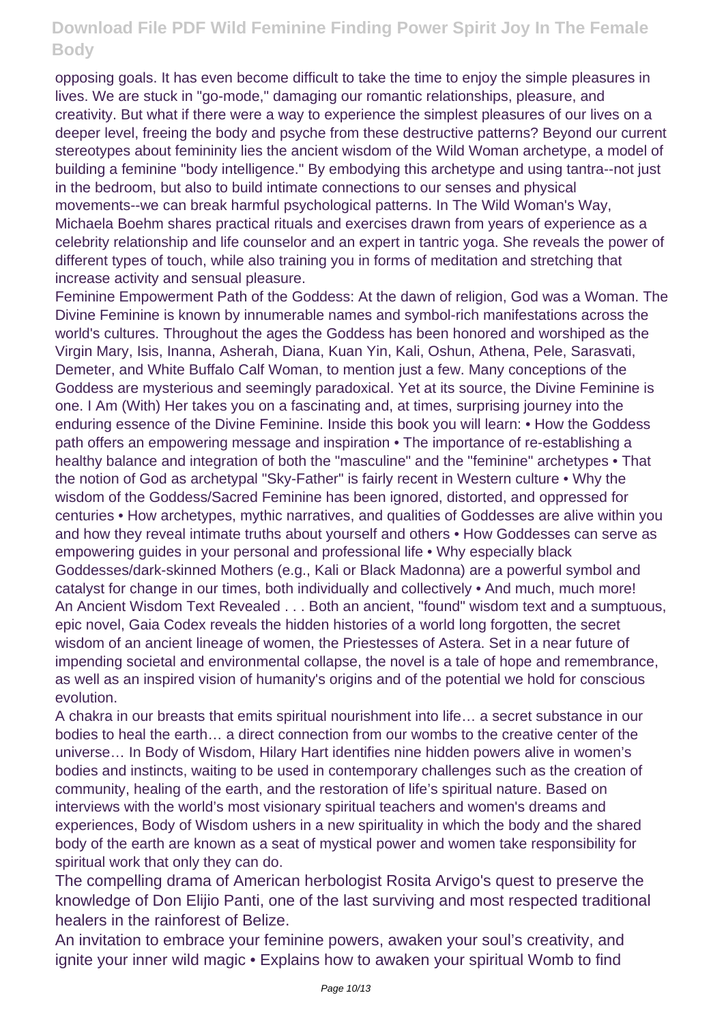opposing goals. It has even become difficult to take the time to enjoy the simple pleasures in lives. We are stuck in "go-mode," damaging our romantic relationships, pleasure, and creativity. But what if there were a way to experience the simplest pleasures of our lives on a deeper level, freeing the body and psyche from these destructive patterns? Beyond our current stereotypes about femininity lies the ancient wisdom of the Wild Woman archetype, a model of building a feminine "body intelligence." By embodying this archetype and using tantra--not just in the bedroom, but also to build intimate connections to our senses and physical movements--we can break harmful psychological patterns. In The Wild Woman's Way, Michaela Boehm shares practical rituals and exercises drawn from years of experience as a celebrity relationship and life counselor and an expert in tantric yoga. She reveals the power of different types of touch, while also training you in forms of meditation and stretching that increase activity and sensual pleasure.

Feminine Empowerment Path of the Goddess: At the dawn of religion, God was a Woman. The Divine Feminine is known by innumerable names and symbol-rich manifestations across the world's cultures. Throughout the ages the Goddess has been honored and worshiped as the Virgin Mary, Isis, Inanna, Asherah, Diana, Kuan Yin, Kali, Oshun, Athena, Pele, Sarasvati, Demeter, and White Buffalo Calf Woman, to mention just a few. Many conceptions of the Goddess are mysterious and seemingly paradoxical. Yet at its source, the Divine Feminine is one. I Am (With) Her takes you on a fascinating and, at times, surprising journey into the enduring essence of the Divine Feminine. Inside this book you will learn: • How the Goddess path offers an empowering message and inspiration • The importance of re-establishing a healthy balance and integration of both the "masculine" and the "feminine" archetypes • That the notion of God as archetypal "Sky-Father" is fairly recent in Western culture • Why the wisdom of the Goddess/Sacred Feminine has been ignored, distorted, and oppressed for centuries • How archetypes, mythic narratives, and qualities of Goddesses are alive within you and how they reveal intimate truths about yourself and others • How Goddesses can serve as empowering guides in your personal and professional life • Why especially black Goddesses/dark-skinned Mothers (e.g., Kali or Black Madonna) are a powerful symbol and catalyst for change in our times, both individually and collectively • And much, much more! An Ancient Wisdom Text Revealed . . . Both an ancient, "found" wisdom text and a sumptuous, epic novel, Gaia Codex reveals the hidden histories of a world long forgotten, the secret wisdom of an ancient lineage of women, the Priestesses of Astera. Set in a near future of impending societal and environmental collapse, the novel is a tale of hope and remembrance, as well as an inspired vision of humanity's origins and of the potential we hold for conscious evolution.

A chakra in our breasts that emits spiritual nourishment into life… a secret substance in our bodies to heal the earth… a direct connection from our wombs to the creative center of the universe… In Body of Wisdom, Hilary Hart identifies nine hidden powers alive in women's bodies and instincts, waiting to be used in contemporary challenges such as the creation of community, healing of the earth, and the restoration of life's spiritual nature. Based on interviews with the world's most visionary spiritual teachers and women's dreams and experiences, Body of Wisdom ushers in a new spirituality in which the body and the shared body of the earth are known as a seat of mystical power and women take responsibility for spiritual work that only they can do.

The compelling drama of American herbologist Rosita Arvigo's quest to preserve the knowledge of Don Elijio Panti, one of the last surviving and most respected traditional healers in the rainforest of Belize.

An invitation to embrace your feminine powers, awaken your soul's creativity, and ignite your inner wild magic • Explains how to awaken your spiritual Womb to find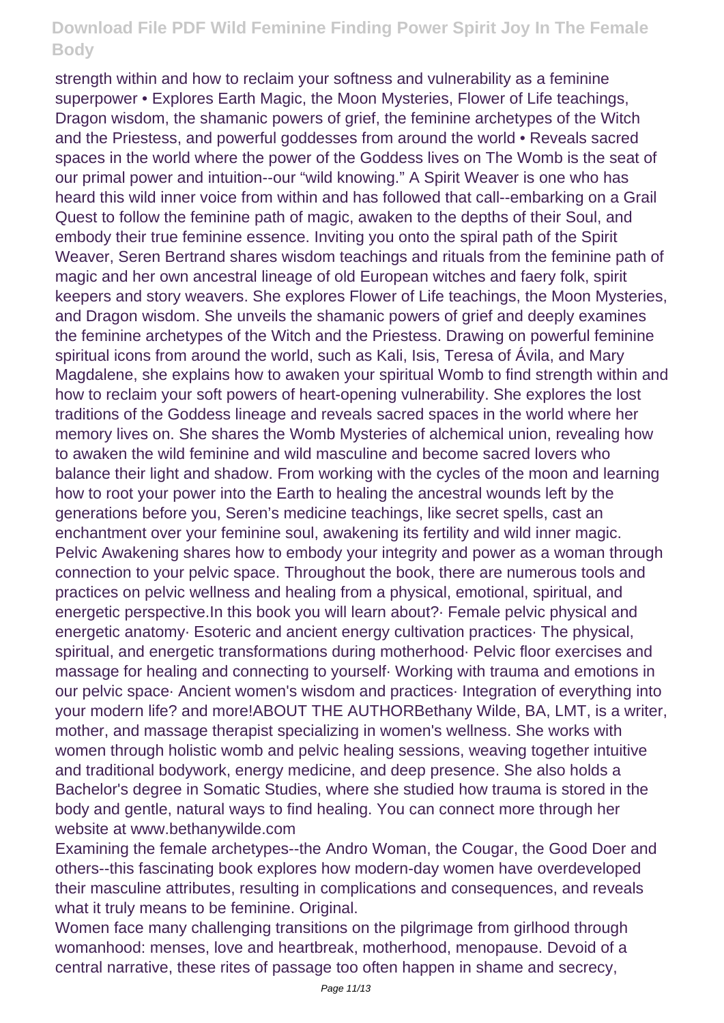strength within and how to reclaim your softness and vulnerability as a feminine superpower • Explores Earth Magic, the Moon Mysteries, Flower of Life teachings, Dragon wisdom, the shamanic powers of grief, the feminine archetypes of the Witch and the Priestess, and powerful goddesses from around the world • Reveals sacred spaces in the world where the power of the Goddess lives on The Womb is the seat of our primal power and intuition--our "wild knowing." A Spirit Weaver is one who has heard this wild inner voice from within and has followed that call--embarking on a Grail Quest to follow the feminine path of magic, awaken to the depths of their Soul, and embody their true feminine essence. Inviting you onto the spiral path of the Spirit Weaver, Seren Bertrand shares wisdom teachings and rituals from the feminine path of magic and her own ancestral lineage of old European witches and faery folk, spirit keepers and story weavers. She explores Flower of Life teachings, the Moon Mysteries, and Dragon wisdom. She unveils the shamanic powers of grief and deeply examines the feminine archetypes of the Witch and the Priestess. Drawing on powerful feminine spiritual icons from around the world, such as Kali, Isis, Teresa of Ávila, and Mary Magdalene, she explains how to awaken your spiritual Womb to find strength within and how to reclaim your soft powers of heart-opening vulnerability. She explores the lost traditions of the Goddess lineage and reveals sacred spaces in the world where her memory lives on. She shares the Womb Mysteries of alchemical union, revealing how to awaken the wild feminine and wild masculine and become sacred lovers who balance their light and shadow. From working with the cycles of the moon and learning how to root your power into the Earth to healing the ancestral wounds left by the generations before you, Seren's medicine teachings, like secret spells, cast an enchantment over your feminine soul, awakening its fertility and wild inner magic. Pelvic Awakening shares how to embody your integrity and power as a woman through connection to your pelvic space. Throughout the book, there are numerous tools and practices on pelvic wellness and healing from a physical, emotional, spiritual, and energetic perspective.In this book you will learn about?· Female pelvic physical and energetic anatomy· Esoteric and ancient energy cultivation practices· The physical, spiritual, and energetic transformations during motherhood· Pelvic floor exercises and massage for healing and connecting to yourself· Working with trauma and emotions in our pelvic space· Ancient women's wisdom and practices· Integration of everything into your modern life? and more!ABOUT THE AUTHORBethany Wilde, BA, LMT, is a writer, mother, and massage therapist specializing in women's wellness. She works with women through holistic womb and pelvic healing sessions, weaving together intuitive and traditional bodywork, energy medicine, and deep presence. She also holds a Bachelor's degree in Somatic Studies, where she studied how trauma is stored in the body and gentle, natural ways to find healing. You can connect more through her website at www.bethanywilde.com

Examining the female archetypes--the Andro Woman, the Cougar, the Good Doer and others--this fascinating book explores how modern-day women have overdeveloped their masculine attributes, resulting in complications and consequences, and reveals what it truly means to be feminine. Original.

Women face many challenging transitions on the pilgrimage from girlhood through womanhood: menses, love and heartbreak, motherhood, menopause. Devoid of a central narrative, these rites of passage too often happen in shame and secrecy,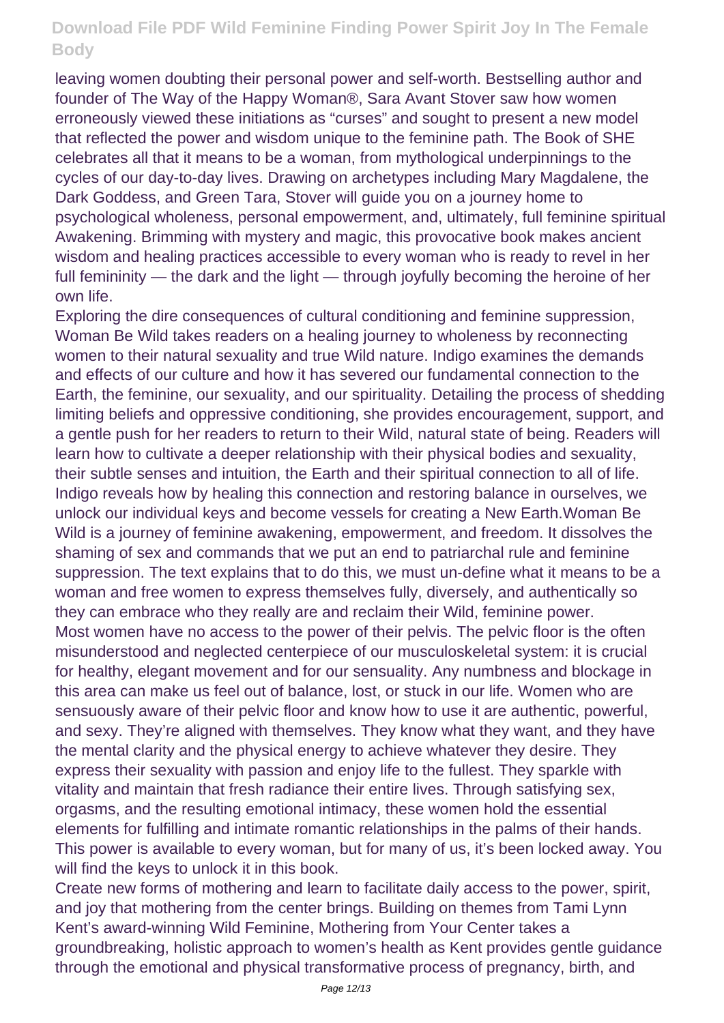leaving women doubting their personal power and self-worth. Bestselling author and founder of The Way of the Happy Woman®, Sara Avant Stover saw how women erroneously viewed these initiations as "curses" and sought to present a new model that reflected the power and wisdom unique to the feminine path. The Book of SHE celebrates all that it means to be a woman, from mythological underpinnings to the cycles of our day-to-day lives. Drawing on archetypes including Mary Magdalene, the Dark Goddess, and Green Tara, Stover will guide you on a journey home to psychological wholeness, personal empowerment, and, ultimately, full feminine spiritual Awakening. Brimming with mystery and magic, this provocative book makes ancient wisdom and healing practices accessible to every woman who is ready to revel in her full femininity — the dark and the light — through joyfully becoming the heroine of her own life.

Exploring the dire consequences of cultural conditioning and feminine suppression, Woman Be Wild takes readers on a healing journey to wholeness by reconnecting women to their natural sexuality and true Wild nature. Indigo examines the demands and effects of our culture and how it has severed our fundamental connection to the Earth, the feminine, our sexuality, and our spirituality. Detailing the process of shedding limiting beliefs and oppressive conditioning, she provides encouragement, support, and a gentle push for her readers to return to their Wild, natural state of being. Readers will learn how to cultivate a deeper relationship with their physical bodies and sexuality, their subtle senses and intuition, the Earth and their spiritual connection to all of life. Indigo reveals how by healing this connection and restoring balance in ourselves, we unlock our individual keys and become vessels for creating a New Earth.Woman Be Wild is a journey of feminine awakening, empowerment, and freedom. It dissolves the shaming of sex and commands that we put an end to patriarchal rule and feminine suppression. The text explains that to do this, we must un-define what it means to be a woman and free women to express themselves fully, diversely, and authentically so they can embrace who they really are and reclaim their Wild, feminine power. Most women have no access to the power of their pelvis. The pelvic floor is the often misunderstood and neglected centerpiece of our musculoskeletal system: it is crucial for healthy, elegant movement and for our sensuality. Any numbness and blockage in this area can make us feel out of balance, lost, or stuck in our life. Women who are sensuously aware of their pelvic floor and know how to use it are authentic, powerful, and sexy. They're aligned with themselves. They know what they want, and they have the mental clarity and the physical energy to achieve whatever they desire. They express their sexuality with passion and enjoy life to the fullest. They sparkle with vitality and maintain that fresh radiance their entire lives. Through satisfying sex, orgasms, and the resulting emotional intimacy, these women hold the essential elements for fulfilling and intimate romantic relationships in the palms of their hands. This power is available to every woman, but for many of us, it's been locked away. You will find the keys to unlock it in this book.

Create new forms of mothering and learn to facilitate daily access to the power, spirit, and joy that mothering from the center brings. Building on themes from Tami Lynn Kent's award-winning Wild Feminine, Mothering from Your Center takes a groundbreaking, holistic approach to women's health as Kent provides gentle guidance through the emotional and physical transformative process of pregnancy, birth, and